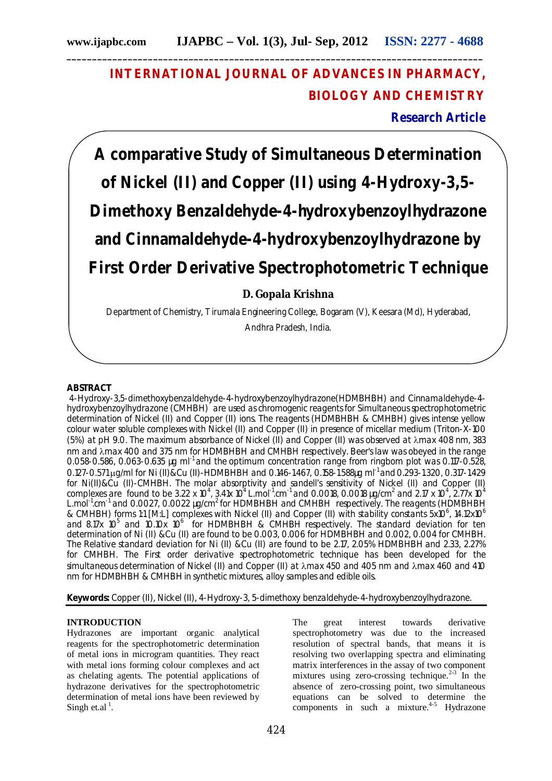# **INTERNATIONAL JOURNAL OF ADVANCES IN PHARMACY, BIOLOGY AND CHEMISTRY**

**Research Article**

**A comparative Study of Simultaneous Determination of Nickel (II) and Copper (II) using 4-Hydroxy-3,5- Dimethoxy Benzaldehyde-4-hydroxybenzoylhydrazone and Cinnamaldehyde-4-hydroxybenzoylhydrazone by First Order Derivative Spectrophotometric Technique**

**D. Gopala Krishna** 

Department of Chemistry, Tirumala Engineering College, Bogaram (V), Keesara (Md), Hyderabad, Andhra Pradesh, India.

## **ABSTRACT**

4-Hydroxy-3,5-dimethoxybenzaldehyde-4-hydroxybenzoylhydrazone(HDMBHBH) and Cinnamaldehyde-4 hydroxybenzoylhydrazone (CMHBH) are used as chromogenic reagents for Simultaneous spectrophotometric determination of Nickel (II) and Copper (II) ions. The reagents (HDMBHBH & CMHBH) gives intense yellow colour water soluble complexes with Nickel (II) and Copper (II) in presence of micellar medium (Triton-X-100 (5%) at pH 9.0. The maximum absorbance of Nickel (II) and Copper (II) was observed at max 408 nm, 383 nm and  $\lambda$ max 400 and 375 nm for HDMBHBH and CMHBH respectively. Beer's law was obeyed in the range 0.058-0.586, 0.063-0.635 µg ml<sup>-1</sup> and the optimum concentration range from ringbom plot was 0.117-0.528, 0.127-0.571 ug/ml for Ni (II)&Cu (II)-HDMBHBH and 0.146-1.467, 0.158-1.588ug ml<sup>-1</sup> and 0.293-1.320, 0.317-1.429 for Ni(II)&Cu (II)-CMHBH. The molar absorptivity and sandell's sensitivity of Nickel (II) and Copper (II) complexes are found to be 3.22 x 10<sup>4</sup>, 3.41x 10<sup>4</sup> L.mol<sup>-1</sup>.cm<sup>-1</sup> and 0.0018, 0.0018 µg/cm<sup>2</sup> and 2.17 x 10<sup>4</sup>, 2.77x 10<sup>4</sup> L.mol<sup>-1</sup>.cm<sup>-1</sup> and 0.0027, 0.0022 µg/cm<sup>2</sup> for HDMBHBH and CMHBH respectively. The reagents (HDMBHBH & CMHBH) forms 1:1 [M:L] complexes with Nickel (II) and Copper (II) with stability constants 5x10<sup>6</sup>, 14.12x10<sup>6</sup> and 8.17x  $10^5$  and 10.10x  $10^6$  for HDMBHBH & CMHBH respectively. The standard deviation for ten determination of Ni (II) &Cu (II) are found to be 0.003, 0.006 for HDMBHBH and 0.002, 0.004 for CMHBH. The Relative standard deviation for Ni (II) &Cu (II) are found to be 2.17, 2.05% HDMBHBH and 2.33, 2.27% for CMHBH. The First order derivative spectrophotometric technique has been developed for the simultaneous determination of Nickel (II) and Copper (II) at  $\lambda$ max 450 and 405 nm and  $\lambda$ max 460 and 410 nm for HDMBHBH & CMHBH in synthetic mixtures, alloy samples and edible oils.

**Keywords:** Copper (II), Nickel (II), 4-Hydroxy-3, 5-dimethoxy benzaldehyde-4-hydroxybenzoylhydrazone.

## **INTRODUCTION**

Hydrazones are important organic analytical reagents for the spectrophotometric determination of metal ions in microgram quantities. They react with metal ions forming colour complexes and act as chelating agents. The potential applications of hydrazone derivatives for the spectrophotometric determination of metal ions have been reviewed by Singh et.al<sup> $1$ </sup>.

The great interest towards derivative spectrophotometry was due to the increased resolution of spectral bands, that means it is resolving two overlapping spectra and eliminating matrix interferences in the assay of two component mixtures using zero-crossing technique.<sup>2-3</sup> In the absence of zero-crossing point, two simultaneous equations can be solved to determine the components in such a mixture. $4-5$  Hydrazone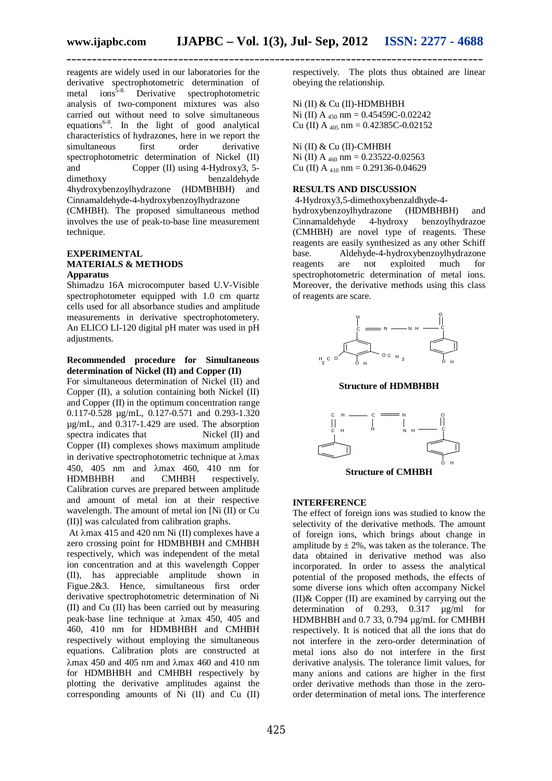reagents are widely used in our laboratories for the derivative spectrophotometric determination of metal ions<sup>5-8.</sup> Derivative spectrophotometric analysis of two-component mixtures was also carried out without need to solve simultaneous equations<sup>6-8</sup>. In the light of good analytical characteristics of hydrazones, here in we report the simultaneous spectrophotometric determination of Nickel (II) and Copper (II) using 4-Hydroxy3, 5-<br>dimethoxy benzaldehyde benzaldehyde 4hydroxybenzoylhydrazone (HDMBHBH) and Cinnamaldehyde-4-hydroxybenzoylhydrazone

(CMHBH). The proposed simultaneous method involves the use of peak-to-base line measurement technique.

#### **EXPERIMENTAL MATERIALS & METHODS Apparatus**

Shimadzu 16A microcomputer based U.V-Visible spectrophotometer equipped with 1.0 cm quartz cells used for all absorbance studies and amplitude measurements in derivative spectrophotometery. An ELICO LI-120 digital pH mater was used in pH adjustments.

#### **Recommended procedure for Simultaneous determination of Nickel (II) and Copper (II)**

For simultaneous determination of Nickel (II) and Copper (II), a solution containing both Nickel (II) and Copper (II) in the optimum concentration range 0.117-0.528 µg/mL, 0.127-0.571 and 0.293-1.320 µg/mL, and 0.317-1.429 are used. The absorption spectra indicates that Nickel (II) and Copper (II) complexes shows maximum amplitude in derivative spectrophotometric technique at  $\lambda$ max 450, 405 nm and λmax 460, 410 nm for HDMBHBH and CMHBH respectively. Calibration curves are prepared between amplitude and amount of metal ion at their respective wavelength. The amount of metal ion [Ni (II) or Cu (II)] was calculated from calibration graphs.

At  $\lambda$ max 415 and 420 nm Ni (II) complexes have a zero crossing point for HDMBHBH and CMHBH respectively, which was independent of the metal ion concentration and at this wavelength Copper (II), has appreciable amplitude shown in Figue.2&3. Hence, simultaneous first order derivative spectrophotometric determination of Ni (II) and Cu (II) has been carried out by measuring peak-base line technique at  $\lambda$ max 450, 405 and 460, 410 nm for HDMBHBH and CMHBH respectively without employing the simultaneous equations. Calibration plots are constructed at  $\lambda$ max 450 and 405 nm and  $\lambda$ max 460 and 410 nm for HDMBHBH and CMHBH respectively by plotting the derivative amplitudes against the corresponding amounts of Ni (II) and Cu (II)

respectively. The plots thus obtained are linear obeying the relationship.

Ni (II) & Cu (II)-HDMBHBH Ni (II) A  $_{450}$  nm = 0.45459C-0.02242 Cu (II) A  $_{405}$  nm = 0.42385C-0.02152

#### Ni (II) & Cu (II)-CMHBH

Ni (II) A  $_{460}$  nm = 0.23522-0.02563 Cu (II) A  $_{410}$  nm = 0.29136-0.04629

#### **RESULTS AND DISCUSSION**

4-Hydroxy3,5-dimethoxybenzaldhyde-4-

hydroxybenzoylhydrazone (HDMBHBH) and Cinnamaldehyde 4-hydroxy benzoylhydrazoe (CMHBH) are novel type of reagents. These reagents are easily synthesized as any other Schiff base. Aldehyde-4-hydroxybenzoylhydrazone reagents are not exploited much for spectrophotometric determination of metal ions. Moreover, the derivative methods using this class of reagents are scare.



**Structure of HDMBHBH**



#### **INTERFERENCE**

The effect of foreign ions was studied to know the selectivity of the derivative methods. The amount of foreign ions, which brings about change in amplitude by  $\pm 2\%$ , was taken as the tolerance. The data obtained in derivative method was also incorporated. In order to assess the analytical potential of the proposed methods, the effects of some diverse ions which often accompany Nickel (II)& Copper (II) are examined by carrying out the determination of 0.293, 0.317 µg/ml for HDMBHBH and 0.7 33, 0.794 µg/mL for CMHBH respectively. It is noticed that all the ions that do not interfere in the zero-order determination of metal ions also do not interfere in the first derivative analysis. The tolerance limit values, for many anions and cations are higher in the first order derivative methods than those in the zeroorder determination of metal ions. The interference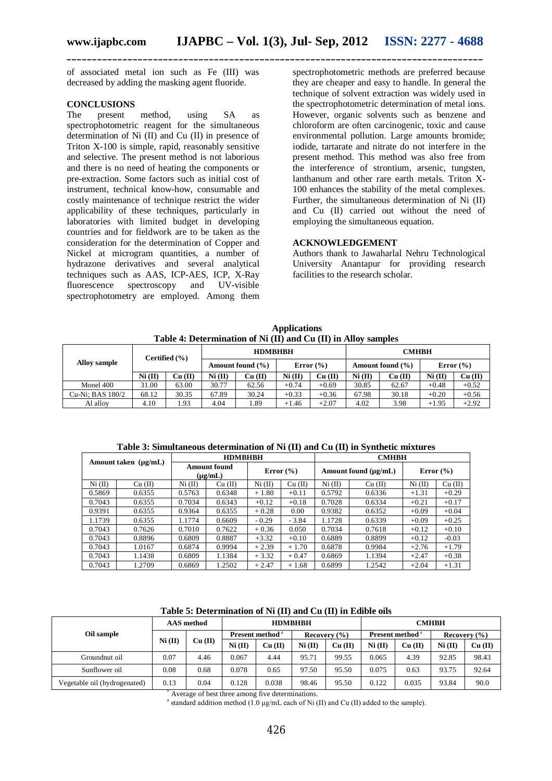of associated metal ion such as Fe (III) was decreased by adding the masking agent fluoride.

#### **CONCLUSIONS**

The present method, using SA as spectrophotometric reagent for the simultaneous determination of Ni (II) and Cu (II) in presence of Triton X-100 is simple, rapid, reasonably sensitive and selective. The present method is not laborious and there is no need of heating the components or pre-extraction. Some factors such as initial cost of instrument, technical know-how, consumable and costly maintenance of technique restrict the wider applicability of these techniques, particularly in laboratories with limited budget in developing countries and for fieldwork are to be taken as the consideration for the determination of Copper and Nickel at microgram quantities, a number of hydrazone derivatives and several analytical techniques such as AAS, ICP-AES, ICP, X-Ray fluorescence spectroscopy and UV-visible spectrophotometry are employed. Among them

spectrophotometric methods are preferred because they are cheaper and easy to handle. In general the technique of solvent extraction was widely used in the spectrophotometric determination of metal ions. However, organic solvents such as benzene and chloroform are often carcinogenic, toxic and cause environmental pollution. Large amounts bromide; iodide, tartarate and nitrate do not interfere in the present method. This method was also free from the interference of strontium, arsenic, tungsten, lanthanum and other rare earth metals. Triton X-100 enhances the stability of the metal complexes. Further, the simultaneous determination of Ni (II) and Cu (II) carried out without the need of employing the simultaneous equation.

### **ACKNOWLEDGEMENT**

Authors thank to Jawaharlal Nehru Technological University Anantapur for providing research facilities to the research scholar.

 **Applications Table 4: Determination of Ni (II) and Cu (II) in Alloy samples**

| <b>Alloy sample</b> | Certified $(\% )$ |         |                      | <b>HDMBHBH</b> |               |         | <b>CMHBH</b>         |           |               |         |
|---------------------|-------------------|---------|----------------------|----------------|---------------|---------|----------------------|-----------|---------------|---------|
|                     |                   |         | Amount found $(\% )$ |                | Error $(\% )$ |         | Amount found $(\% )$ |           | Error $(\% )$ |         |
|                     | $Ni$ (II)         | Cu (II) | Ni (II)              | Cu (II)        | Ni (II)       | Cu (II) | Ni (II)              | $Cu$ (II) | Ni (II)       | Cu (II) |
| Monel 400           | 31.00             | 63.00   | 30.77                | 62.56          | $+0.74$       | $+0.69$ | 30.85                | 62.67     | $+0.48$       | $+0.52$ |
| Cu-Ni: BAS 180/2    | 68.12             | 30.35   | 67.89                | 30.24          | $+0.33$       | $+0.36$ | 67.98                | 30.18     | $+0.20$       | $+0.56$ |
| Al alloy            | 4.10              | . 93    | 4.04                 | 1.89           | $+1.46$       | $+2.07$ | 4.02                 | 3.98      | $+1.95$       | $+2.92$ |

| Amount taken $(\mu g/mL)$ |         |                                             | <b>HDMBHBH</b> |               |         | <b>CMHBH</b> |                           |               |         |  |
|---------------------------|---------|---------------------------------------------|----------------|---------------|---------|--------------|---------------------------|---------------|---------|--|
|                           |         | <b>Amount found</b><br>$(\mu \varrho / mL)$ |                | Error $(\% )$ |         |              | Amount found $(\mu g/mL)$ | Error $(\% )$ |         |  |
| Ni (II)                   | Cu (II) | Ni (II)                                     | Cu (II)        | Ni (II)       | Cu (II) | Ni (II)      | Cu (II)                   | Ni (II)       | Cu (II) |  |
| 0.5869                    | 0.6355  | 0.5763                                      | 0.6348         | $+1.80$       | $+0.11$ | 0.5792       | 0.6336                    | $+1.31$       | $+0.29$ |  |
| 0.7043                    | 0.6355  | 0.7034                                      | 0.6343         | $+0.12$       | $+0.18$ | 0.7028       | 0.6334                    | $+0.21$       | $+0.17$ |  |
| 0.9391                    | 0.6355  | 0.9364                                      | 0.6355         | $+0.28$       | 0.00    | 0.9382       | 0.6352                    | $+0.09$       | $+0.04$ |  |
| 1.1739                    | 0.6355  | 1.1774                                      | 0.6609         | $-0.29$       | $-3.84$ | 1.1728       | 0.6339                    | $+0.09$       | $+0.25$ |  |
| 0.7043                    | 0.7626  | 0.7010                                      | 0.7622         | $+0.36$       | 0.050   | 0.7034       | 0.7618                    | $+0.12$       | $+0.10$ |  |
| 0.7043                    | 0.8896  | 0.6809                                      | 0.8887         | $+3.32$       | $+0.10$ | 0.6889       | 0.8899                    | $+0.12$       | $-0.03$ |  |
| 0.7043                    | 1.0167  | 0.6874                                      | 0.9994         | $+2.39$       | $+1.70$ | 0.6878       | 0.9984                    | $+2.76$       | $+1.79$ |  |
| 0.7043                    | 1.1438  | 0.6809                                      | 1.1384         | $+3.32$       | $+0.47$ | 0.6869       | 1.1394                    | $+2.47$       | $+0.38$ |  |
| 0.7043                    | 1.2709  | 0.6869                                      | 1.2502         | $+2.47$       | $+1.68$ | 0.6899       | 1.2542                    | $+2.04$       | $+1.31$ |  |

| Table 5: Determination of Ni (II) and Cu (II) in Edible oils |  |  |  |  |  |  |
|--------------------------------------------------------------|--|--|--|--|--|--|
|--------------------------------------------------------------|--|--|--|--|--|--|

|                              | AAS method |           | <b>HDMBHBH</b>              |           |                  |           | <b>CMHBH</b>                |           |                  |         |
|------------------------------|------------|-----------|-----------------------------|-----------|------------------|-----------|-----------------------------|-----------|------------------|---------|
| Oil sample                   | Ni (II)    | $Cu$ (II) | Present method <sup>a</sup> |           | Recovery $(\% )$ |           | Present method <sup>a</sup> |           | Recovery $(\% )$ |         |
|                              |            |           | Ni (II)                     | $Cu$ (II) | $Ni$ (II)        | $Cu$ (II) | $Ni$ (II)                   | $Cu$ (II) | $Ni$ (II)        | Cu (II) |
| Groundnut oil                | 0.07       | 4.46      | 0.067                       | 4.44      | 95.71            | 99.55     | 0.065                       | 4.39      | 92.85            | 98.43   |
| Sunflower oil                | 0.08       | 0.68      | 0.078                       | 0.65      | 97.50            | 95.50     | 0.075                       | 0.63      | 93.75            | 92.64   |
| Vegetable oil (hydrogenated) | 0.13       | 0.04      | 0.128                       | 0.038     | 98.46            | 95.50     | 0.122                       | 0.035     | 93.84            | 90.0    |

Average of best three among five determinations.

<sup>a</sup> standard addition method  $(1.0 \text{ µg/mL}$  each of Ni (II) and Cu (II) added to the sample).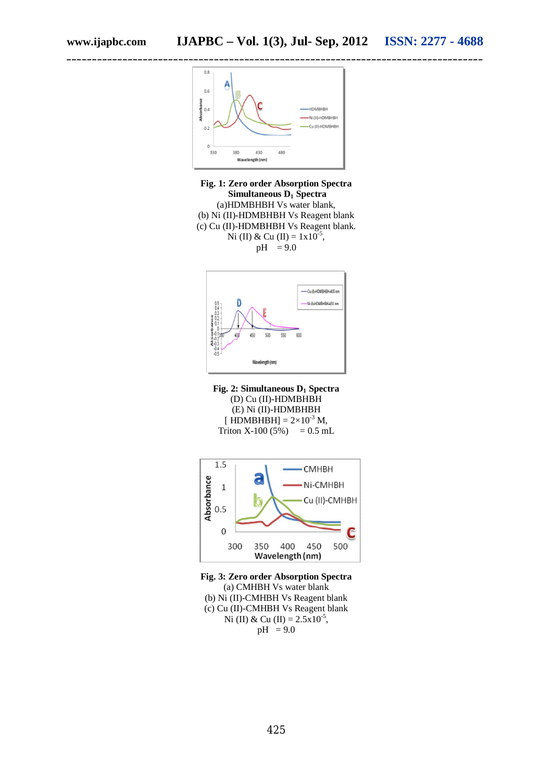

**Fig. 1: Zero order Absorption Spectra Simultaneous D<sup>1</sup> Spectra** (a)HDMBHBH Vs water blank, (b) Ni (II)-HDMBHBH Vs Reagent blank (c) Cu (II)-HDMBHBH Vs Reagent blank. Ni (II) & Cu (II) =  $1x10^{-5}$ ,  $pH = 9.0$ 



**Fig. 2: Simultaneous D<sup>1</sup> Spectra** (D) Cu (II)-HDMBHBH (E) Ni (II)-HDMBHBH [ $HDMBHBH$ ] =  $2\times10^{-3}$  M, Triton X-100 (5%) =  $0.5$  mL



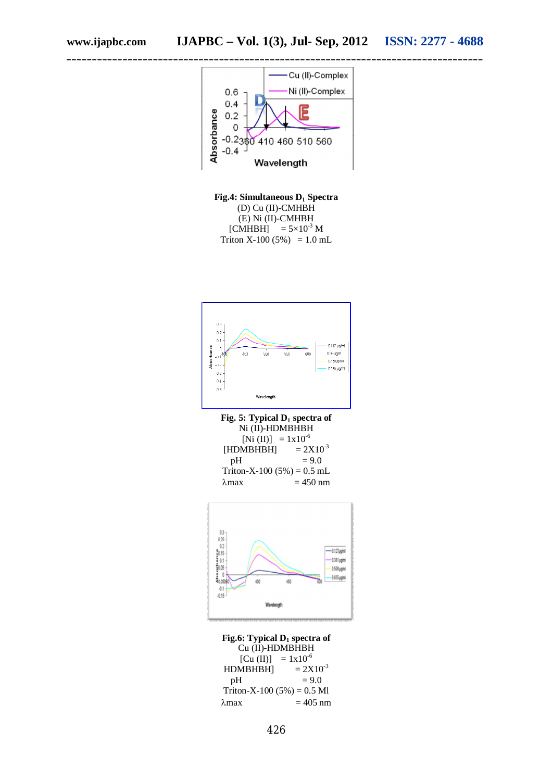

**Fig.4: Simultaneous D<sup>1</sup> Spectra** (D) Cu (II)-CMHBH (E) Ni (II)-CMHBH [CMHBH]  $= 5 \times 10^{-3}$  M Triton X-100 (5%) =  $1.0$  mL



**Fig. 5: Typical D<sup>1</sup> spectra of** Ni (II)-HDMBHBH [Ni (II)] =  $1x10^{-6}$ <br>MBHBH] =  $2X10^{-3}$  $[HDMBHBH]$  $pH = 9.0$ Triton-X-100 (5%) =  $0.5$  mL  $\lambda$ max = 450 nm



**Fig.6: Typical D<sup>1</sup> spectra of** Cu (II)-HDMBHBH [Cu (II)] =  $1x10^{-6}$ <br>MBHBH] =  $2X10^{-3}$  $HDMBHBH$ ]<br>pH  $= 9.0$ Triton-X-100 (5%) =  $0.5$  Ml  $\lambda$ max = 405 nm